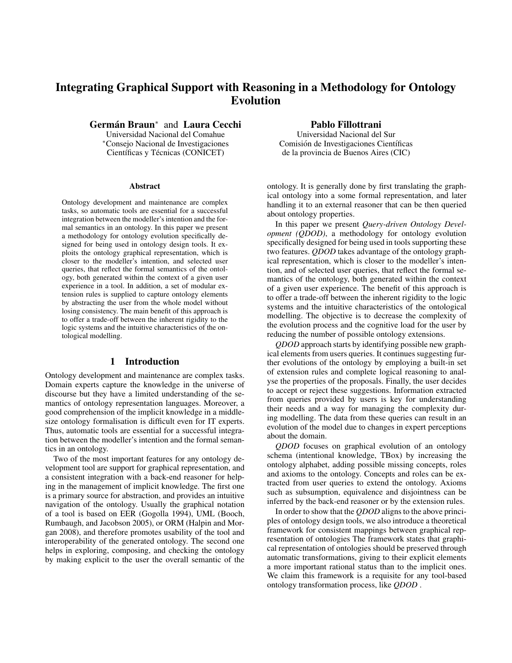# Integrating Graphical Support with Reasoning in a Methodology for Ontology Evolution

Germán Braun<sup>\*</sup> and Laura Cecchi

Universidad Nacional del Comahue ⇤Consejo Nacional de Investigaciones Científicas y Técnicas (CONICET)

#### Abstract

Ontology development and maintenance are complex tasks, so automatic tools are essential for a successful integration between the modeller's intention and the formal semantics in an ontology. In this paper we present a methodology for ontology evolution specifically designed for being used in ontology design tools. It exploits the ontology graphical representation, which is closer to the modeller's intention, and selected user queries, that reflect the formal semantics of the ontology, both generated within the context of a given user experience in a tool. In addition, a set of modular extension rules is supplied to capture ontology elements by abstracting the user from the whole model without losing consistency. The main benefit of this approach is to offer a trade-off between the inherent rigidity to the logic systems and the intuitive characteristics of the ontological modelling.

## 1 Introduction

Ontology development and maintenance are complex tasks. Domain experts capture the knowledge in the universe of discourse but they have a limited understanding of the semantics of ontology representation languages. Moreover, a good comprehension of the implicit knowledge in a middlesize ontology formalisation is difficult even for IT experts. Thus, automatic tools are essential for a successful integration between the modeller's intention and the formal semantics in an ontology.

Two of the most important features for any ontology development tool are support for graphical representation, and a consistent integration with a back-end reasoner for helping in the management of implicit knowledge. The first one is a primary source for abstraction, and provides an intuitive navigation of the ontology. Usually the graphical notation of a tool is based on EER (Gogolla 1994), UML (Booch, Rumbaugh, and Jacobson 2005), or ORM (Halpin and Morgan 2008), and therefore promotes usability of the tool and interoperability of the generated ontology. The second one helps in exploring, composing, and checking the ontology by making explicit to the user the overall semantic of the Pablo Fillottrani

Universidad Nacional del Sur Comisión de Investigaciones Científicas de la provincia de Buenos Aires (CIC)

ontology. It is generally done by first translating the graphical ontology into a some formal representation, and later handling it to an external reasoner that can be then queried about ontology properties.

In this paper we present *Query-driven Ontology Development (QDOD)*, a methodology for ontology evolution specifically designed for being used in tools supporting these two features. *QDOD* takes advantage of the ontology graphical representation, which is closer to the modeller's intention, and of selected user queries, that reflect the formal semantics of the ontology, both generated within the context of a given user experience. The benefit of this approach is to offer a trade-off between the inherent rigidity to the logic systems and the intuitive characteristics of the ontological modelling. The objective is to decrease the complexity of the evolution process and the cognitive load for the user by reducing the number of possible ontology extensions.

*QDOD* approach starts by identifying possible new graphical elements from users queries. It continues suggesting further evolutions of the ontology by employing a built-in set of extension rules and complete logical reasoning to analyse the properties of the proposals. Finally, the user decides to accept or reject these suggestions. Information extracted from queries provided by users is key for understanding their needs and a way for managing the complexity during modelling. The data from these queries can result in an evolution of the model due to changes in expert perceptions about the domain.

*QDOD* focuses on graphical evolution of an ontology schema (intentional knowledge, TBox) by increasing the ontology alphabet, adding possible missing concepts, roles and axioms to the ontology. Concepts and roles can be extracted from user queries to extend the ontology. Axioms such as subsumption, equivalence and disjointness can be inferred by the back-end reasoner or by the extension rules.

In order to show that the *QDOD* aligns to the above principles of ontology design tools, we also introduce a theoretical framework for consistent mappings between graphical representation of ontologies The framework states that graphical representation of ontologies should be preserved through automatic transformations, giving to their explicit elements a more important rational status than to the implicit ones. We claim this framework is a requisite for any tool-based ontology transformation process, like *QDOD* .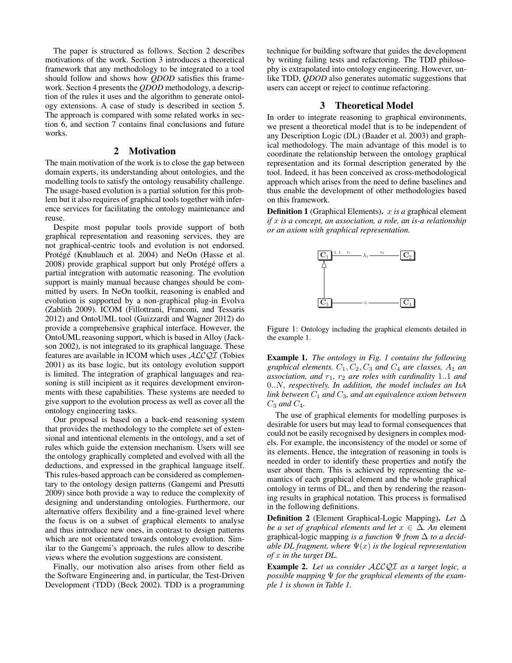The paper is structured as follows. Section 2 describes motivations of the work. Section 3 introduces a theoretical framework that any methodology to be integrated to a tool should follow and shows how *QDOD* satisfies this framework. Section 4 presents the *QDOD* methodology, a description of the rules it uses and the algorithm to generate ontology extensions. A case of study is described in section 5. The approach is compared with some related works in section 6, and section 7 contains final conclusions and future works.

# 2 Motivation

The main motivation of the work is to close the gap between domain experts, its understanding about ontologies, and the modelling tools to satisfy the ontology reusability challenge. The usage-based evolution is a partial solution for this problem but it also requires of graphical tools together with inference services for facilitating the ontology maintenance and reuse.

Despite most popular tools provide support of both graphical representation and reasoning services, they are not graphical-centric tools and evolution is not endorsed. Protégé (Knublauch et al. 2004) and NeOn (Hasse et al. 2008) provide graphical support but only Protégé offers a partial integration with automatic reasoning. The evolution support is mainly manual because changes should be committed by users. In NeOn toolkit, reasoning is enabled and evolution is supported by a non-graphical plug-in Evolva (Zablith 2009). ICOM (Fillottrani, Franconi, and Tessaris 2012) and OntoUML tool (Guizzardi and Wagner 2012) do provide a comprehensive graphical interface. However, the OntoUML reasoning support, which is based in Alloy (Jackson 2002), is not integrated to its graphical language. These features are available in ICOM which uses *ALCQI* (Tobies 2001) as its base logic, but its ontology evolution support is limited. The integration of graphical languages and reasoning is still incipient as it requires development environments with these capabilities. These systems are needed to give support to the evolution process as well as cover all the ontology engineering tasks.

Our proposal is based on a back-end reasoning system that provides the methodology to the complete set of extensional and intentional elements in the ontology, and a set of rules which guide the extension mechanism. Users will see the ontology graphically completed and evolved with all the deductions, and expressed in the graphical language itself. This rules-based approach can be considered as complementary to the ontology design patterns (Gangemi and Presutti 2009) since both provide a way to reduce the complexity of designing and understanding ontologies. Furthermore, our alternative offers flexibility and a fine-grained level where the focus is on a subset of graphical elements to analyse and thus introduce new ones, in contrast to design patterns which are not orientated towards ontology evolution. Similar to the Gangemi's approach, the rules allow to describe views where the evolution suggestions are consistent.

Finally, our motivation also arises from other field as the Software Engineering and, in particular, the Test-Driven Development (TDD) (Beck 2002). TDD is a programming

technique for building software that guides the development by writing failing tests and refactoring. The TDD philosophy is extrapolated into ontology engineering. However, unlike TDD, *QDOD* also generates automatic suggestions that users can accept or reject to continue refactoring.

## 3 Theoretical Model

In order to integrate reasoning to graphical environments, we present a theoretical model that is to be independent of any Description Logic (DL) (Baader et al. 2003) and graphical methodology. The main advantage of this model is to coordinate the relationship between the ontology graphical representation and its formal description generated by the tool. Indeed, it has been conceived as cross-methodological approach which arises from the need to define baselines and thus enable the development of other methodologies based on this framework.

Definition 1 (Graphical Elements). *x is a* graphical element *if x is a concept, an association, a role, an is-a relationship or an axiom with graphical representation.*



Figure 1: Ontology including the graphical elements detailed in the example 1.

Example 1. *The ontology in Fig. 1 contains the following graphical elements.*  $C_1$ ,  $C_2$ ,  $C_3$  *and*  $C_4$  *are classes,*  $A_1$  *an association, and r*1*, r*<sup>2</sup> *are roles with cardinality* 1*..*1 *and* 0*..N, respectively. In addition, the model includes an IsA link between C*<sup>1</sup> *and C*3*, and an equivalence axiom between*  $C_3$  *and*  $C_4$ *.* 

The use of graphical elements for modelling purposes is desirable for users but may lead to formal consequences that could not be easily recognised by designers in complex models. For example, the inconsistency of the model or some of its elements. Hence, the integration of reasoning in tools is needed in order to identify these properties and notify the user about them. This is achieved by representing the semantics of each graphical element and the whole graphical ontology in terms of DL, and then by rendering the reasoning results in graphical notation. This process is formalised in the following definitions.

**Definition 2** (Element Graphical-Logic Mapping). Let  $\Delta$ *be a set of graphical elements and let*  $x \in \Delta$ . An element graphical-logic mapping *is a function*  $\Psi$  *from*  $\Delta$  *to a decidable DL fragment, where*  $\Psi(x)$  *is the logical representation of x in the target DL.*

Example 2. *Let us consider ALCQI as a target logic, a possible mapping*  $\Psi$  *for the graphical elements of the example 1 is shown in Table 1.*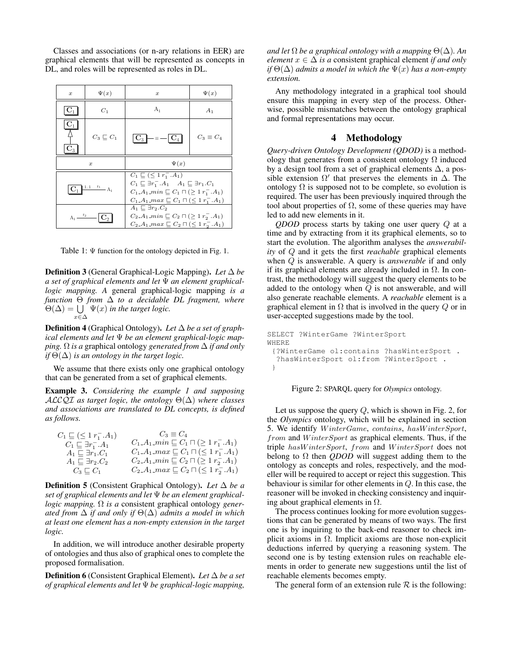Classes and associations (or n-ary relations in EER) are graphical elements that will be represented as concepts in DL, and roles will be represented as roles in DL.

| $\boldsymbol{x}$                 | $\Psi(x)$               | $\boldsymbol{x}$                                                                                                                                                                                                                      | $\Psi(x)$        |
|----------------------------------|-------------------------|---------------------------------------------------------------------------------------------------------------------------------------------------------------------------------------------------------------------------------------|------------------|
| $\mathbf{C}_1$                   | $C_1$                   | A <sub>1</sub>                                                                                                                                                                                                                        | $A_1$            |
| $\mathbf{C}_1$<br>$\mathbf{C}_3$ | $C_3 \sqsubseteq C_1$   | $\mid$ C <sub>3</sub> $\mid$ $=$ $=$ $-$<br>$\mathbf{C}_4$                                                                                                                                                                            | $C_3 \equiv C_4$ |
| $\boldsymbol{x}$                 |                         | $\Psi(x)$                                                                                                                                                                                                                             |                  |
|                                  |                         |                                                                                                                                                                                                                                       |                  |
| $\mathbf{C}_1$                   | $\frac{11 \t r_1}{A_1}$ | $C_1 \sqsubseteq (\leq 1 r_1^-.A_1)$<br>$C_1 \sqsubseteq \exists r_1^-.A_1 \quad A_1 \sqsubseteq \exists r_1.C_1$<br>$C_1.A_1.min \sqsubset C_1 \sqcap (\geq 1 r_1^-. A_1)$<br>$C_1.A_1.max \sqsubseteq C_1 \sqcap (\leq 1 r_1, A_1)$ |                  |

Table 1:  $\Psi$  function for the ontology depicted in Fig. 1.

**Definition 3** (General Graphical-Logic Mapping). Let  $\Delta$  be a set of graphical elements and let  $\Psi$  an element graphical*logic mapping. A* general graphical-logic mapping *is a function*  $\Theta$  *from*  $\Delta$  *to a decidable DL fragment, where*  $\Theta(\Delta) = \bigcup \Psi(x)$  in the target logic.  $x \in \Delta$ 

**Definition 4** (Graphical Ontology). Let  $\Delta$  be a set of graph*ical elements and let be an element graphical-logic mapping.*  $\Omega$  *is a* graphical ontology *generated from*  $\Delta$  *if and only if*  $\Theta(\Delta)$  *is an ontology in the target logic.* 

We assume that there exists only one graphical ontology that can be generated from a set of graphical elements.

Example 3. *Considering the example 1 and supposing ALCQI* as target logic, the ontology  $\Theta(\Delta)$  where classes *and associations are translated to DL concepts, is defined as follows.*

| $C_1 \sqsubseteq (\leq 1 \, r_1^-.A_1)$ | $C_3 \equiv C_4$                                             |
|-----------------------------------------|--------------------------------------------------------------|
| $C_1 \sqsubseteq \exists r_1^- . A_1$   | $C_1 \_ A1 \_ min \sqsubseteq C_1 \sqcap (\geq 1 r_1^- A_1)$ |
| $A_1 \sqsubseteq \exists r_1.C_1$       | $C_1.A_1.max \sqsubseteq C_1 \sqcap (\leq 1 r_1^-.A_1)$      |
| $A_1 \sqsubset \exists r_2.C_2$         | $C_2.A_1$ -min $C_2 \sqcap (\geq 1 r_2^- A_1)$               |
| $C_3 \sqsubset C_1$                     | $C_2.A_1.max \sqsubseteq C_2 \sqcap (\leq 1 r_2^- . A_1)$    |
|                                         |                                                              |

**Definition 5** (Consistent Graphical Ontology). Let  $\Delta$  be a *set of graphical elements and let be an element graphicallogic mapping.*  $\Omega$  *is a* consistent graphical ontology gener*ated from*  $\Delta$  *if and only if*  $\Theta(\Delta)$  *admits a model in which at least one element has a non-empty extension in the target logic.*

In addition, we will introduce another desirable property of ontologies and thus also of graphical ones to complete the proposed formalisation.

**Definition 6** (Consistent Graphical Element). Let  $\Delta$  be a set *of graphical elements and let be graphical-logic mapping,*

*and let*  $\Omega$  *be a graphical ontology with a mapping*  $\Theta(\Delta)$ *. An element*  $x \in \Delta$  *is a* consistent graphical element *if and only if*  $\Theta(\Delta)$  *admits a model in which the*  $\Psi(x)$  *has a non-empty extension.*

Any methodology integrated in a graphical tool should ensure this mapping in every step of the process. Otherwise, possible mismatches between the ontology graphical and formal representations may occur.

## 4 Methodology

*Query-driven Ontology Development (QDOD)* is a methodology that generates from a consistent ontology  $\Omega$  induced by a design tool from a set of graphical elements  $\Delta$ , a possible extension  $\Omega'$  that preserves the elements in  $\Delta$ . The ontology  $\Omega$  is supposed not to be complete, so evolution is required. The user has been previously inquired through the tool about properties of  $\Omega$ , some of these queries may have led to add new elements in it.

*QDOD* process starts by taking one user query *Q* at a time and by extracting from it its graphical elements, so to start the evolution. The algorithm analyses the *answerability* of *Q* and it gets the first *reachable* graphical elements when *Q* is answerable. A query is *answerable* if and only if its graphical elements are already included in  $\Omega$ . In contrast, the methodology will suggest the query elements to be added to the ontology when *Q* is not answerable, and will also generate reachable elements. A *reachable* element is a graphical element in  $\Omega$  that is involved in the query  $Q$  or in user-accepted suggestions made by the tool.

```
SELECT ?WinterGame ?WinterSport
WHERE
 {?WinterGame ol:contains ?hasWinterSport .
  ?hasWinterSport ol:from ?WinterSport .
 }
```


Let us suppose the query *Q*, which is shown in Fig. 2, for the *Olympics* ontology, which will be explained in section 5. We identify *W interGame*, *contains*, *hasW interSport*, *from* and *W interSport* as graphical elements. Thus, if the triple *hasW interSport*, *from* and *W interSport* does not belong to  $\Omega$  then *QDOD* will suggest adding them to the ontology as concepts and roles, respectively, and the modeller will be required to accept or reject this suggestion. This behaviour is similar for other elements in *Q*. In this case, the reasoner will be invoked in checking consistency and inquiring about graphical elements in  $\Omega$ .

The process continues looking for more evolution suggestions that can be generated by means of two ways. The first one is by inquiring to the back-end reasoner to check implicit axioms in  $\Omega$ . Implicit axioms are those non-explicit deductions inferred by querying a reasoning system. The second one is by testing extension rules on reachable elements in order to generate new suggestions until the list of reachable elements becomes empty.

The general form of an extension rule  $R$  is the following: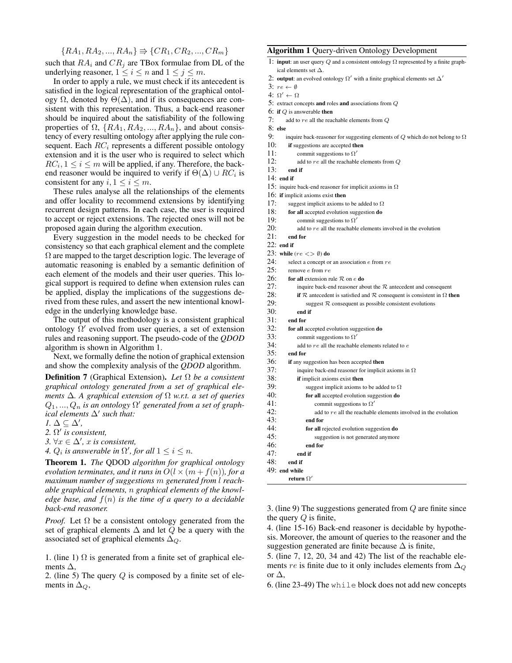$$
\{RA_1, RA_2, ..., RA_n\} \Rightarrow \{CR_1, CR_2, ..., CR_m\}
$$

such that  $RA_i$  and  $CR_j$  are TBox formulae from DL of the underlying reasoner,  $1 \le i \le n$  and  $1 \le j \le m$ .

In order to apply a rule, we must check if its antecedent is satisfied in the logical representation of the graphical ontology  $\Omega$ , denoted by  $\Theta(\Delta)$ , and if its consequences are consistent with this representation. Thus, a back-end reasoner should be inquired about the satisfiability of the following properties of  $\Omega$ ,  $\{RA_1, RA_2, ..., RA_n\}$ , and about consistency of every resulting ontology after applying the rule consequent. Each *RC<sup>i</sup>* represents a different possible ontology extension and it is the user who is required to select which  $RC_i, 1 \leq i \leq m$  will be applied, if any. Therefore, the backend reasoner would be inquired to verify if  $\Theta(\Delta) \cup RC_i$  is consistent for any  $i, 1 \le i \le m$ .

These rules analyse all the relationships of the elements and offer locality to recommend extensions by identifying recurrent design patterns. In each case, the user is required to accept or reject extensions. The rejected ones will not be proposed again during the algorithm execution.

Every suggestion in the model needs to be checked for consistency so that each graphical element and the complete  $\Omega$  are mapped to the target description logic. The leverage of automatic reasoning is enabled by a semantic definition of each element of the models and their user queries. This logical support is required to define when extension rules can be applied, display the implications of the suggestions derived from these rules, and assert the new intentional knowledge in the underlying knowledge base.

The output of this methodology is a consistent graphical ontology  $\Omega'$  evolved from user queries, a set of extension rules and reasoning support. The pseudo-code of the *QDOD* algorithm is shown in Algorithm 1.

Next, we formally define the notion of graphical extension and show the complexity analysis of the *QDOD* algorithm.

**Definition 7** (Graphical Extension). Let  $\Omega$  be a consistent *graphical ontology generated from a set of graphical elements*  $\Delta$ . A graphical extension of  $\Omega$  w.r.t. a set of queries  $Q_1, ..., Q_n$  *is an ontology*  $\Omega'$  generated from a set of graph*ical elements*  $\Delta'$  *such that:* 

 $1. \Delta \subseteq \Delta',$ 

2.  $\Omega'$  *is consistent,* 

*3.*  $\forall x \in \Delta', x$  is consistent,

4.  $Q_i$  is answerable in  $\Omega'$ , for all  $1 \leq i \leq n$ .

Theorem 1. *The* QDOD *algorithm for graphical ontology evolution terminates, and it runs in*  $O(l \times (m + f(n))$ *, for a maximum number of suggestions m generated from l reachable graphical elements, n graphical elements of the knowledge base, and*  $f(n)$  *is the time of a query to a decidable back-end reasoner.*

*Proof.* Let  $\Omega$  be a consistent ontology generated from the set of graphical elements  $\Delta$  and let *Q* be a query with the associated set of graphical elements  $\Delta_{Q}$ .

1. (line 1)  $\Omega$  is generated from a finite set of graphical elements  $\Delta$ ,

2. (line 5) The query *Q* is composed by a finite set of elements in  $\Delta_{\mathcal{Q}}$ ,

#### Algorithm 1 Query-driven Ontology Development

- 1: **input**: an user query *Q* and a consistent ontology  $\Omega$  represented by a finite graphical elements set  $\Delta.$
- 2: output: an evolved ontology  $\Omega'$  with a finite graphical elements set  $\Delta'$
- $3: re \leftarrow \emptyset$
- 4:  $\Omega' \leftarrow \Omega$
- 5: extract concepts and roles and associations from *Q*
- 6: if *Q* is answerable then
- 7: add to *re* all the reachable elements from *Q*
- 8: else
- 9: inquire back-reasoner for suggesting elements of  $Q$  which do not belong to  $\Omega$
- 10: **if** suggestions are accepted then
- 11: commit suggestions to  $\Omega'$
- 12: add to *re* all the reachable elements from *Q*
- 13: end if
- 14: end if
- 15: inquire back-end reasoner for implicit axioms in  $\Omega$
- 16: if implicit axioms exist then
- 17: suggest implicit axioms to be added to  $\Omega$
- 18: for all accepted evolution suggestion do
- 19: commit suggestions to  $\Omega'$
- 20: add to *re* all the reachable elements involved in the evolution

21: end for

- 22: end if
- 
- 23: while  $(re < \gg \emptyset)$  do<br>24: select a concent of select a concept or an association *e* from  $re$
- 25: remove *e* from *re*
- 
- 26: **for all** extension rule  $R$  on  $e$  **do** 27: **inquire back-end reasoner ab**
- 27: inquire back-end reasoner about the  $R$  antecedent and consequent 28: **if**  $R$  antecedent is satisfied and  $R$  consequent is consistent in  $\Omega$  **ti**
- 28: if *R* antecedent is satisfied and *R* consequent is consistent in  $\Omega$  then 29: suggest *R* consequent as possible consistent evolutions 29: suggest *R* consequent as possible consistent evolutions  $30<sup>2</sup>$  and if
	- 30: end if
- 31: end for
- 32: **for all** accepted evolution suggestion **do**<br>33: commit suggestions to  $\Omega'$
- commit suggestions to  $\Omega'$
- 34: add to *re* all the reachable elements related to *e*
- end for
- 36: if any suggestion has been accepted then
- 37: inquire back-end reasoner for implicit axioms in  $\Omega$
- 38: if implicit axioms exist then
- 39: suggest implicit axioms to be added to  $\Omega$
- 40: for all accepted evolution suggestion do
- 41: commit suggestions to  $\Omega'$ <br>42: add to *re* all the reachable
	- add to  $re$  all the reachable elements involved in the evolution
- 43: end for
- 44: for all rejected evolution suggestion do
- 45: suggestion is not generated anymore
- 46: end for
- 47: end if
- 48: end if
- 49: end while return  $\Omega'$

3. (line 9) The suggestions generated from *Q* are finite since the query *Q* is finite,

4. (line 15-16) Back-end reasoner is decidable by hypothesis. Moreover, the amount of queries to the reasoner and the suggestion generated are finite because  $\Delta$  is finite,

5. (line 7, 12, 20, 34 and 42) The list of the reachable elements *re* is finite due to it only includes elements from  $\Delta_Q$ or  $\Lambda$ .

6. (line 23-49) The while block does not add new concepts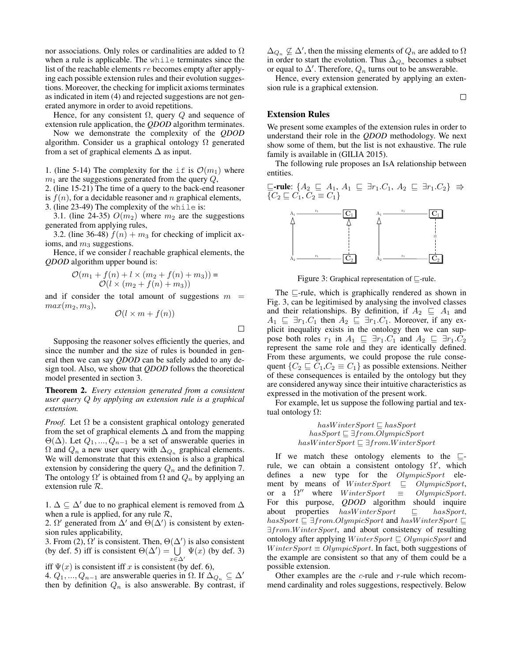nor associations. Only roles or cardinalities are added to  $\Omega$ when a rule is applicable. The while terminates since the list of the reachable elements *re* becomes empty after applying each possible extension rules and their evolution suggestions. Moreover, the checking for implicit axioms terminates as indicated in item (4) and rejected suggestions are not generated anymore in order to avoid repetitions.

Hence, for any consistent  $\Omega$ , query  $Q$  and sequence of extension rule application, the *QDOD* algorithm terminates.

Now we demonstrate the complexity of the *QDOD* algorithm. Consider us a graphical ontology  $\Omega$  generated from a set of graphical elements  $\Delta$  as input.

1. (line 5-14) The complexity for the if is  $\mathcal{O}(m_1)$  where  $m_1$  are the suggestions generated from the query  $Q$ ,

2. (line 15-21) The time of a query to the back-end reasoner is  $f(n)$ , for a decidable reasoner and *n* graphical elements,

3. (line 23-49) The complexity of the while is:

3.1. (line 24-35)  $O(m_2)$  where  $m_2$  are the suggestions generated from applying rules,

3.2. (line 36-48)  $f(n) + m_3$  for checking of implicit axioms, and  $m_3$  suggestions.

Hence, if we consider *l* reachable graphical elements, the *QDOD* algorithm upper bound is:

$$
\mathcal{O}(m_1 + f(n) + l \times (m_2 + f(n) + m_3)) =
$$
  

$$
\mathcal{O}(l \times (m_2 + f(n) + m_3))
$$

and if consider the total amount of suggestions  $m =$  $max(m_2, m_3)$ ,

$$
\mathcal{O}(l \times m + f(n))
$$

 $\Box$ 

Supposing the reasoner solves efficiently the queries, and since the number and the size of rules is bounded in general then we can say *QDOD* can be safely added to any design tool. Also, we show that *QDOD* follows the theoretical model presented in section 3.

Theorem 2. *Every extension generated from a consistent user query Q by applying an extension rule is a graphical extension.*

*Proof.* Let  $\Omega$  be a consistent graphical ontology generated from the set of graphical elements  $\Delta$  and from the mapping  $\Theta(\Delta)$ . Let  $Q_1, ..., Q_{n-1}$  be a set of answerable queries in  $\Omega$  and  $Q_n$  a new user query with  $\Delta_{Q_n}$  graphical elements. We will demonstrate that this extension is also a graphical extension by considering the query *Q<sup>n</sup>* and the definition 7. The ontology  $\Omega'$  is obtained from  $\Omega$  and  $Q_n$  by applying an extension rule *R*.

1.  $\Delta \subseteq \Delta'$  due to no graphical element is removed from  $\Delta$ when a rule is applied, for any rule *R*,

2.  $\Omega'$  generated from  $\Delta'$  and  $\Theta(\Delta')$  is consistent by extension rules applicability,

3. From (2),  $\Omega'$  is consistent. Then,  $\Theta(\Delta')$  is also consistent (by def. 5) iff is consistent  $\Theta(\Delta') = \cup$  $x \in \Delta'$  $\Psi(x)$  (by def. 3)

iff  $\Psi(x)$  is consistent iff *x* is consistent (by def. 6), 4.  $Q_1, ..., Q_{n-1}$  are answerable queries in  $\Omega$ . If  $\Delta_{Q_n} \subseteq \Delta'$ then by definition  $Q_n$  is also answerable. By contrast, if

 $\Delta_{Q_n} \not\subseteq \Delta'$ , then the missing elements of  $Q_n$  are added to  $\Omega$ in order to start the evolution. Thus  $\Delta_{Q_n}$  becomes a subset or equal to  $\Delta'$ . Therefore,  $Q_n$  turns out to be answerable.

Hence, every extension generated by applying an extension rule is a graphical extension.

 $\Box$ 

#### Extension Rules

We present some examples of the extension rules in order to understand their role in the *QDOD* methodology. We next show some of them, but the list is not exhaustive. The rule family is available in (GILIA 2015).

The following rule proposes an IsA relationship between entities.

$$
\subseteq\text{-rule: } \{A_2 \subseteq A_1, A_1 \subseteq \exists r_1.C_1, A_2 \subseteq \exists r_1.C_2\} \Rightarrow
$$
  

$$
\{C_2 \subseteq C_1, C_2 \equiv C_1\}
$$



Figure 3: Graphical representation of  $\sqsubseteq$ -rule.

The  $\sqsubseteq$ -rule, which is graphically rendered as shown in Fig. 3, can be legitimised by analysing the involved classes and their relationships. By definition, if  $A_2 \subseteq A_1$  and  $A_1 \subseteq \exists r_1.C_1$  then  $A_2 \subseteq \exists r_1.C_1$ . Moreover, if any explicit inequality exists in the ontology then we can suppose both roles  $r_1$  in  $A_1 \subseteq \exists r_1.C_1$  and  $A_2 \subseteq \exists r_1.C_2$ <br>represent the same role and they are identically defined. From these arguments, we could propose the rule consequent  ${C_2 \subseteq C_1, C_2 \equiv C_1}$  as possible extensions. Neither of these consequences is entailed by the ontology but they are considered anyway since their intuitive characteristics as expressed in the motivation of the present work.

For example, let us suppose the following partial and textual ontology  $\Omega$ :

> $hasW interSort \sqsubset hasSport$  $has Sport \sqsubseteq \exists from.Olympic Sport$  $hasW interSport \sqsubseteq \exists from.W interSport$

If we match these ontology elements to the  $\sqsubseteq$ rule, we can obtain a consistent ontology  $\Omega'$ , which defines a new type for the *OlympicSport* element by means of *WinterSport*  $\subseteq$  *OlympicSport*,<br>or a  $\Omega''$  where *WinterSport*  $\equiv$  *OlympicSport*. or a  $\Omega''$  where *WinterSport* For this purpose, *QDOD* algorithm should inquire about properties  $hasWinterSport \t\t\subseteq \t\t hasSport,$  $has Sport \sqsubseteq \exists from.OlympicSort \text{ and } hasW interSpot \sqsubseteq$ 9*from.W interSport*, and about consistency of resulting ontology after applying *WinterSport*  $\subseteq$  *OlympicSport* and *WinterSport*  $\equiv$  *OlympicSport*. In fact, both suggestions of the example are consistent so that any of them could be a possible extension.

Other examples are the *c*-rule and *r*-rule which recommend cardinality and roles suggestions, respectively. Below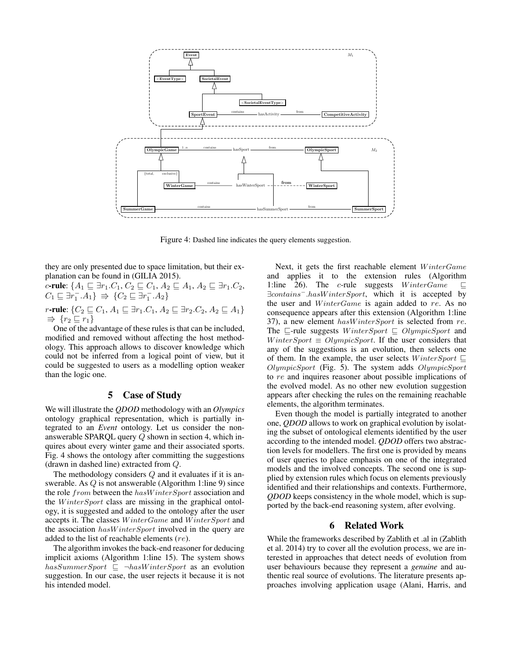

Figure 4: Dashed line indicates the query elements suggestion.

they are only presented due to space limitation, but their explanation can be found in (GILIA 2015).

*c*-rule:  $\{A_1 \sqsubseteq \exists r_1.C_1, C_2 \sqsubseteq C_1, A_2 \sqsubseteq A_1, A_2 \sqsubseteq \exists r_1.C_2,$  $C_1 \sqsubseteq \exists r_1^- . A_1 \} \Rightarrow \{ C_2 \sqsubseteq \exists r_1^- . A_2 \}$ 

*r*-rule:  $\{C_2 \sqsubseteq C_1, A_1 \sqsubseteq \exists r_1.C_1, A_2 \sqsubseteq \exists r_2.C_2, A_2 \sqsubseteq A_1\}$  $\Rightarrow$   $\{r_2 \sqsubseteq r_1\}$ 

One of the advantage of these rules is that can be included, modified and removed without affecting the host methodology. This approach allows to discover knowledge which could not be inferred from a logical point of view, but it could be suggested to users as a modelling option weaker than the logic one.

# 5 Case of Study

We will illustrate the *QDOD* methodology with an *Olympics* ontology graphical representation, which is partially integrated to an *Event* ontology. Let us consider the nonanswerable SPARQL query *Q* shown in section 4, which inquires about every winter game and their associated sports. Fig. 4 shows the ontology after committing the suggestions (drawn in dashed line) extracted from *Q*.

The methodology considers *Q* and it evaluates if it is answerable. As *Q* is not answerable (Algorithm 1:line 9) since the role *from* between the *hasW interSport* association and the *W interSport* class are missing in the graphical ontology, it is suggested and added to the ontology after the user accepts it. The classes *W interGame* and *W interSport* and the association *hasW interSport* involved in the query are added to the list of reachable elements (*re*).

The algorithm invokes the back-end reasoner for deducing implicit axioms (Algorithm 1:line 15). The system shows  $hasSummer Sport \subseteq \neg hasW interSpot$  as an evolution suggestion. In our case, the user rejects it because it is not his intended model.

Next, it gets the first reachable element *W interGame* and applies it to the extension rules (Algorithm 1:line 26). The *c*-rule suggests  $WinterGame \subseteq$ 9*contains.hasW interSport*, which it is accepted by the user and *W interGame* is again added to *re*. As no consequence appears after this extension (Algorithm 1:line 37), a new element *hasW interSport* is selected from *re*. The  $\sqsubseteq$ -rule suggests *WinterSport*  $\sqsubseteq$  *OlympicSport* and *WinterSport*  $\equiv$  *OlympicSport*. If the user considers that any of the suggestions is an evolution, then selects one of them. In the example, the user selects  $WinterSpot \sqsubseteq$ *OlympicSport* (Fig. 5). The system adds *OlympicSport* to *re* and inquires reasoner about possible implications of the evolved model. As no other new evolution suggestion appears after checking the rules on the remaining reachable elements, the algorithm terminates.

Even though the model is partially integrated to another one, *QDOD* allows to work on graphical evolution by isolating the subset of ontological elements identified by the user according to the intended model. *QDOD* offers two abstraction levels for modellers. The first one is provided by means of user queries to place emphasis on one of the integrated models and the involved concepts. The second one is supplied by extension rules which focus on elements previously identified and their relationships and contexts. Furthermore, *QDOD* keeps consistency in the whole model, which is supported by the back-end reasoning system, after evolving.

#### 6 Related Work

While the frameworks described by Zablith et .al in (Zablith et al. 2014) try to cover all the evolution process, we are interested in approaches that detect needs of evolution from user behaviours because they represent a *genuine* and authentic real source of evolutions. The literature presents approaches involving application usage (Alani, Harris, and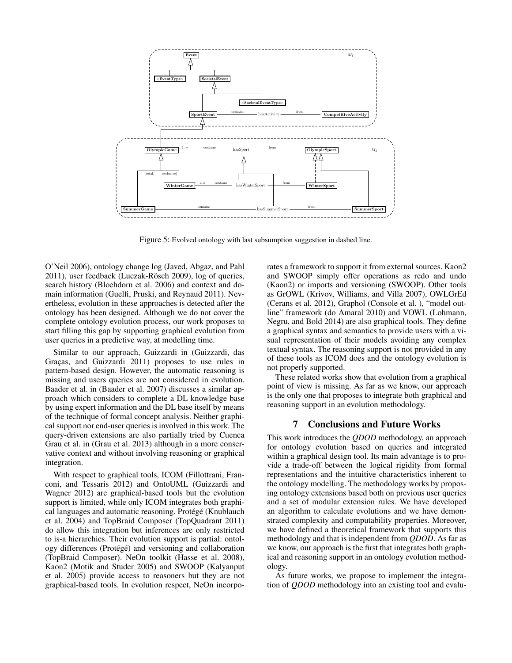

Figure 5: Evolved ontology with last subsumption suggestion in dashed line.

O'Neil 2006), ontology change log (Javed, Abgaz, and Pahl 2011), user feedback (Luczak-Rösch 2009), log of queries, search history (Bloehdorn et al. 2006) and context and domain information (Guelfi, Pruski, and Reynaud 2011). Nevertheless, evolution in these approaches is detected after the ontology has been designed. Although we do not cover the complete ontology evolution process, our work proposes to start filling this gap by supporting graphical evolution from user queries in a predictive way, at modelling time.

Similar to our approach, Guizzardi in (Guizzardi, das Graças, and Guizzardi 2011) proposes to use rules in pattern-based design. However, the automatic reasoning is missing and users queries are not considered in evolution. Baader et al. in (Baader et al. 2007) discusses a similar approach which considers to complete a DL knowledge base by using expert information and the DL base itself by means of the technique of formal concept analysis. Neither graphical support nor end-user queries is involved in this work. The query-driven extensions are also partially tried by Cuenca Grau et al. in (Grau et al. 2013) although in a more conservative context and without involving reasoning or graphical integration.

With respect to graphical tools, ICOM (Fillottrani, Franconi, and Tessaris 2012) and OntoUML (Guizzardi and Wagner 2012) are graphical-based tools but the evolution support is limited, while only ICOM integrates both graphical languages and automatic reasoning. Protégé (Knublauch et al. 2004) and TopBraid Composer (TopQuadrant 2011) do allow this integration but inferences are only restricted to is-a hierarchies. Their evolution support is partial: ontology differences ( $Prot\acute{e}g\acute{e}$ ) and versioning and collaboration (TopBraid Composer). NeOn toolkit (Hasse et al. 2008), Kaon2 (Motik and Studer 2005) and SWOOP (Kalyanput et al. 2005) provide access to reasoners but they are not graphical-based tools. In evolution respect, NeOn incorporates a framework to support it from external sources. Kaon2 and SWOOP simply offer operations as redo and undo (Kaon2) or imports and versioning (SWOOP). Other tools as GrOWL (Krivov, Williams, and Villa 2007), OWLGrEd (Cerans et al. 2012), Graphol (Console et al. ), "model outline" framework (do Amaral 2010) and VOWL (Lohmann, Negru, and Bold 2014) are also graphical tools. They define a graphical syntax and semantics to provide users with a visual representation of their models avoiding any complex textual syntax. The reasoning support is not provided in any of these tools as ICOM does and the ontology evolution is not properly supported.

These related works show that evolution from a graphical point of view is missing. As far as we know, our approach is the only one that proposes to integrate both graphical and reasoning support in an evolution methodology.

### 7 Conclusions and Future Works

This work introduces the *QDOD* methodology, an approach for ontology evolution based on queries and integrated within a graphical design tool. Its main advantage is to provide a trade-off between the logical rigidity from formal representations and the intuitive characteristics inherent to the ontology modelling. The methodology works by proposing ontology extensions based both on previous user queries and a set of modular extension rules. We have developed an algorithm to calculate evolutions and we have demonstrated complexity and computability properties. Moreover, we have defined a theoretical framework that supports this methodology and that is independent from *QDOD*. As far as we know, our approach is the first that integrates both graphical and reasoning support in an ontology evolution methodology.

As future works, we propose to implement the integration of *QDOD* methodology into an existing tool and evalu